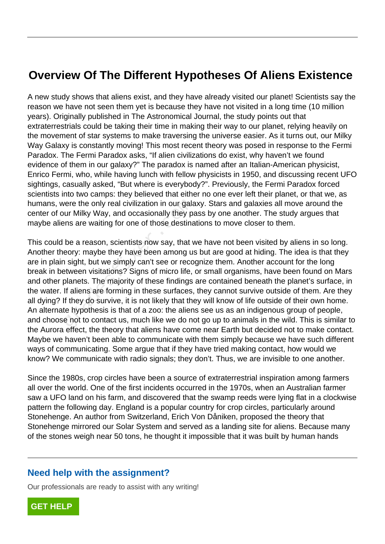## **Overview Of The Different Hypotheses Of Aliens Existence**

A new study shows that aliens exist, and they have already visited our planet! Scientists say the reason we have not seen them yet is because they have not visited in a long time (10 million years). Originally published in The Astronomical Journal, the study points out that extraterrestrials could be taking their time in making their way to our planet, relying heavily on the movement of star systems to make traversing the universe easier. As it turns out, our Milky Way Galaxy is constantly moving! This most recent theory was posed in response to the Fermi Paradox. The Fermi Paradox asks, "If alien civilizations do exist, why haven't we found evidence of them in our galaxy?" The paradox is named after an Italian-American physicist, Enrico Fermi, who, while having lunch with fellow physicists in 1950, and discussing recent UFO sightings, casually asked, "But where is everybody?". Previously, the Fermi Paradox forced scientists into two camps: they believed that either no one ever left their planet, or that we, as humans, were the only real civilization in our galaxy. Stars and galaxies all move around the center of our Milky Way, and occasionally they pass by one another. The study argues that maybe aliens are waiting for one of those destinations to move closer to them.

This could be a reason, scientists now say, that we have not been visited by aliens in so long. Another theory: maybe they have been among us but are good at hiding. The idea is that they are in plain sight, but we simply can't see or recognize them. Another account for the long break in between visitations? Signs of micro life, or small organisms, have been found on Mars and other planets. The majority of these findings are contained beneath the planet's surface, in the water. If aliens are forming in these surfaces, they cannot survive outside of them. Are they all dying? If they do survive, it is not likely that they will know of life outside of their own home. An alternate hypothesis is that of a zoo: the aliens see us as an indigenous group of people, and choose not to contact us, much like we do not go up to animals in the wild. This is similar to the Aurora effect, the theory that aliens have come near Earth but decided not to make contact. Maybe we haven't been able to communicate with them simply because we have such different ways of communicating. Some argue that if they have tried making contact, how would we know? We communicate with radio signals; they don't. Thus, we are invisible to one another. vere the only real civilization in our galation with the set of those destinations are waiting for one of those destinations are waiting for one of those destinations are accon, scientists now say, that vector. The set of

Since the 1980s, crop circles have been a source of extraterrestrial inspiration among farmers all over the world. One of the first incidents occurred in the 1970s, when an Australian farmer saw a UFO land on his farm, and discovered that the swamp reeds were lying flat in a clockwise pattern the following day. England is a popular country for crop circles, particularly around Stonehenge. An author from Switzerland, Erich Von Dåniken, proposed the theory that Stonehenge mirrored our Solar System and served as a landing site for aliens. Because many of the stones weigh near 50 tons, he thought it impossible that it was built by human hands

## **Need help with the assignment?**

Our professionals are ready to assist with any writing!

**[GET HELP](https://my.gradesfixer.com/order?utm_campaign=pdf_sample)**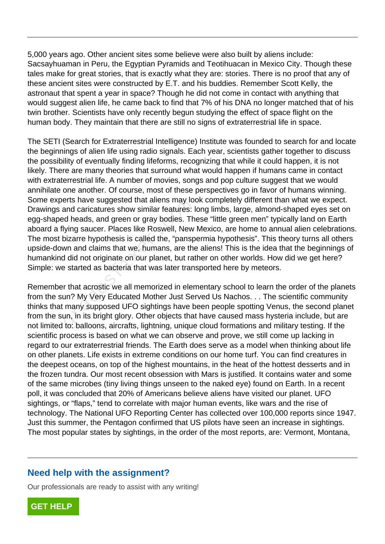5,000 years ago. Other ancient sites some believe were also built by aliens include: Sacsayhuaman in Peru, the Egyptian Pyramids and Teotihuacan in Mexico City. Though these tales make for great stories, that is exactly what they are: stories. There is no proof that any of these ancient sites were constructed by E.T. and his buddies. Remember Scott Kelly, the astronaut that spent a year in space? Though he did not come in contact with anything that would suggest alien life, he came back to find that 7% of his DNA no longer matched that of his twin brother. Scientists have only recently begun studying the effect of space flight on the human body. They maintain that there are still no signs of extraterrestrial life in space.

The SETI (Search for Extraterrestrial Intelligence) Institute was founded to search for and locate the beginnings of alien life using radio signals. Each year, scientists gather together to discuss the possibility of eventually finding lifeforms, recognizing that while it could happen, it is not likely. There are many theories that surround what would happen if humans came in contact with extraterrestrial life. A number of movies, songs and pop culture suggest that we would annihilate one another. Of course, most of these perspectives go in favor of humans winning. Some experts have suggested that aliens may look completely different than what we expect. Drawings and caricatures show similar features: long limbs, large, almond-shaped eyes set on egg-shaped heads, and green or gray bodies. These "little green men" typically land on Earth aboard a flying saucer. Places like Roswell, New Mexico, are home to annual alien celebrations. The most bizarre hypothesis is called the, "panspermia hypothesis". This theory turns all others upside-down and claims that we, humans, are the aliens! This is the idea that the beginnings of humankind did not originate on our planet, but rather on other worlds. How did we get here? Simple: we started as bacteria that was later transported here by meteors. ents have suggested that allerns hay to<br>and caricatures show similar features: I<br>d heads, and green or gray bodies. Th<br>lying saucer. Places like Roswell, New<br>bizarre hypothesis is called the, "pansp<br>wn and claims that we,

Remember that acrostic we all memorized in elementary school to learn the order of the planets from the sun? My Very Educated Mother Just Served Us Nachos. . . The scientific community thinks that many supposed UFO sightings have been people spotting Venus, the second planet from the sun, in its bright glory. Other objects that have caused mass hysteria include, but are not limited to: balloons, aircrafts, lightning, unique cloud formations and military testing. If the scientific process is based on what we can observe and prove, we still come up lacking in regard to our extraterrestrial friends. The Earth does serve as a model when thinking about life on other planets. Life exists in extreme conditions on our home turf. You can find creatures in the deepest oceans, on top of the highest mountains, in the heat of the hottest desserts and in the frozen tundra. Our most recent obsession with Mars is justified. It contains water and some of the same microbes (tiny living things unseen to the naked eye) found on Earth. In a recent poll, it was concluded that 20% of Americans believe aliens have visited our planet. UFO sightings, or "flaps," tend to correlate with major human events, like wars and the rise of technology. The National UFO Reporting Center has collected over 100,000 reports since 1947. Just this summer, the Pentagon confirmed that US pilots have seen an increase in sightings. The most popular states by sightings, in the order of the most reports, are: Vermont, Montana,

## **Need help with the assignment?**

Our professionals are ready to assist with any writing!

**[GET HELP](https://my.gradesfixer.com/order?utm_campaign=pdf_sample)**